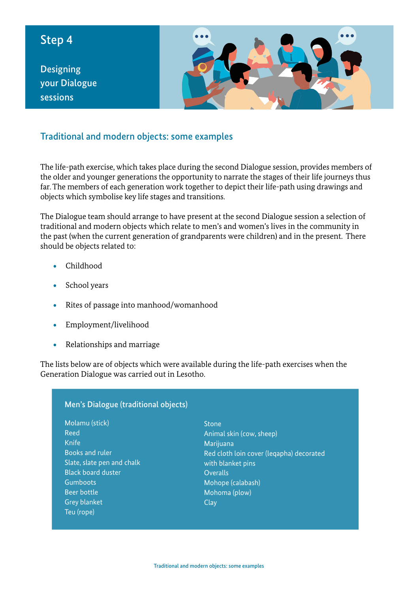# Step 4 Designing your Dialogue sessions

# Traditional and modern objects: some examples

The life-path exercise, which takes place during the second Dialogue session, provides members of the older and younger generations the opportunity to narrate the stages of their life journeys thus far. The members of each generation work together to depict their life-path using drawings and objects which symbolise key life stages and transitions.

The Dialogue team should arrange to have present at the second Dialogue session a selection of traditional and modern objects which relate to men's and women's lives in the community in the past (when the current generation of grandparents were children) and in the present. There should be objects related to:

- Childhood
- School years
- Rites of passage into manhood/womanhood
- Employment/livelihood
- Relationships and marriage

The lists below are of objects which were available during the life-path exercises when the Generation Dialogue was carried out in Lesotho.

## Men's Dialogue (traditional objects)

Molamu (stick) Reed Knife Books and ruler Slate, slate pen and chalk Black board duster **Gumboots** Beer bottle Grey blanket Teu (rope)

Stone Animal skin (cow, sheep) Marijuana Red cloth loin cover (leqapha) decorated with blanket pins **Overalls** Mohope (calabash) Mohoma (plow) Clay